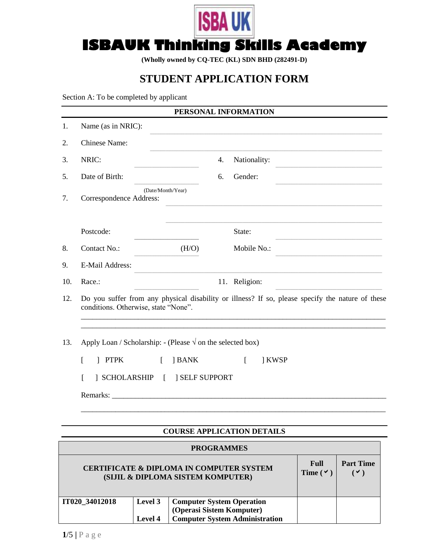

# **ISBAUK Thinking Skills Academy**

**(Wholly owned by CQ-TEC (KL) SDN BHD (282491-D)**

## **STUDENT APPLICATION FORM**

Section A: To be completed by applicant

| 1.  | Name (as in NRIC):                                                  |                  |                                                                                                                                        |
|-----|---------------------------------------------------------------------|------------------|----------------------------------------------------------------------------------------------------------------------------------------|
| 2.  | <b>Chinese Name:</b>                                                |                  |                                                                                                                                        |
| 3.  | NRIC:                                                               | $\overline{4}$ . | Nationality:                                                                                                                           |
| 5.  | Date of Birth:                                                      | 6.               | Gender:                                                                                                                                |
| 7.  | (Date/Month/Year)<br>Correspondence Address:                        |                  |                                                                                                                                        |
|     | Postcode:                                                           |                  | State:                                                                                                                                 |
| 8.  | Contact No.:<br>(H/O)                                               |                  | Mobile No.:                                                                                                                            |
| 9.  | E-Mail Address:                                                     |                  |                                                                                                                                        |
| 10. | Race.:                                                              |                  | 11. Religion:<br><u> 1989 - Johann Harry Harry Harry Harry Harry Harry Harry Harry Harry Harry Harry Harry Harry Harry Harry Harry</u> |
| 12. | conditions. Otherwise, state "None".                                |                  | Do you suffer from any physical disability or illness? If so, please specify the nature of these                                       |
| 13. | Apply Loan / Scholarship: - (Please $\sqrt{ }$ on the selected box) |                  |                                                                                                                                        |
|     | <b>PTPK</b><br><b>BANK</b><br>ſ<br>1<br>L                           |                  | $\Gamma$<br>] KWSP                                                                                                                     |
|     | <b>SCHOLARSHIP</b><br><b>J SELF SUPPORT</b><br>$\Box$               |                  |                                                                                                                                        |
|     |                                                                     |                  |                                                                                                                                        |

### **COURSE APPLICATION DETAILS**

| <b>PROGRAMMES</b>                                                                          |         |                                       |  |                                  |  |  |
|--------------------------------------------------------------------------------------------|---------|---------------------------------------|--|----------------------------------|--|--|
| <b>CERTIFICATE &amp; DIPLOMA IN COMPUTER SYSTEM</b><br>(SIJIL & DIPLOMA SISTEM KOMPUTER)   |         |                                       |  | <b>Part Time</b><br>$\checkmark$ |  |  |
| IT020 34012018<br>Level 3<br><b>Computer System Operation</b><br>(Operasi Sistem Komputer) |         |                                       |  |                                  |  |  |
|                                                                                            | Level 4 | <b>Computer System Administration</b> |  |                                  |  |  |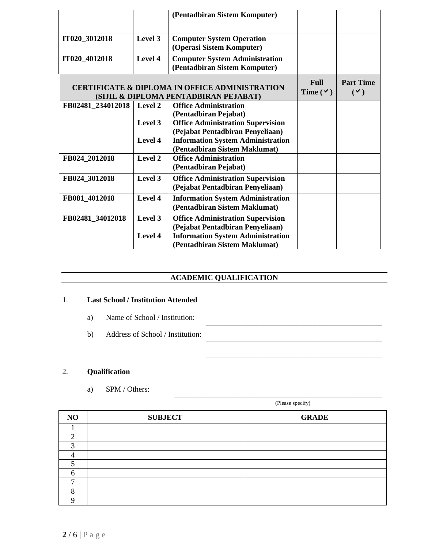|                   |         | (Pentadbiran Sistem Komputer)                                                                      |                              |                              |
|-------------------|---------|----------------------------------------------------------------------------------------------------|------------------------------|------------------------------|
| IT020_3012018     | Level 3 | <b>Computer System Operation</b><br>(Operasi Sistem Komputer)                                      |                              |                              |
| IT020_4012018     | Level 4 | <b>Computer System Administration</b><br>(Pentadbiran Sistem Komputer)                             |                              |                              |
|                   |         | <b>CERTIFICATE &amp; DIPLOMA IN OFFICE ADMINISTRATION</b><br>(SIJIL & DIPLOMA PENTADBIRAN PEJABAT) | <b>Full</b><br>Time $(\vee)$ | <b>Part Time</b><br>$(\vee)$ |
| FB02481_234012018 | Level 2 | <b>Office Administration</b>                                                                       |                              |                              |
|                   |         | (Pentadbiran Pejabat)                                                                              |                              |                              |
|                   | Level 3 | <b>Office Administration Supervision</b>                                                           |                              |                              |
|                   |         | (Pejabat Pentadbiran Penyeliaan)                                                                   |                              |                              |
|                   | Level 4 | <b>Information System Administration</b>                                                           |                              |                              |
|                   |         | (Pentadbiran Sistem Maklumat)                                                                      |                              |                              |
| FB024_2012018     | Level 2 | <b>Office Administration</b>                                                                       |                              |                              |
|                   |         | (Pentadbiran Pejabat)                                                                              |                              |                              |
| FB024 3012018     | Level 3 | <b>Office Administration Supervision</b>                                                           |                              |                              |
|                   |         | (Pejabat Pentadbiran Penyeliaan)                                                                   |                              |                              |
| FB081_4012018     | Level 4 | <b>Information System Administration</b>                                                           |                              |                              |
|                   |         | (Pentadbiran Sistem Maklumat)                                                                      |                              |                              |
| FB02481_34012018  | Level 3 | <b>Office Administration Supervision</b>                                                           |                              |                              |
|                   |         | (Pejabat Pentadbiran Penyeliaan)                                                                   |                              |                              |
|                   | Level 4 | <b>Information System Administration</b>                                                           |                              |                              |
|                   |         | (Pentadbiran Sistem Maklumat)                                                                      |                              |                              |

### **ACADEMIC QUALIFICATION**

\_\_\_\_\_\_\_\_\_\_\_\_\_\_\_\_\_\_\_\_\_\_\_\_\_\_\_\_\_\_\_\_\_\_\_\_\_\_\_\_\_\_\_\_\_\_\_\_\_\_\_\_\_\_\_\_\_\_\_\_\_\_\_\_\_\_\_\_\_\_\_\_\_\_\_\_\_\_\_\_\_\_\_\_\_\_\_\_\_\_\_\_\_\_\_\_\_\_\_\_\_

\_\_\_\_\_\_\_\_\_\_\_\_\_\_\_\_\_\_\_\_\_\_\_\_\_\_\_\_\_\_\_\_\_\_\_\_\_\_\_\_\_\_\_\_\_\_\_\_\_\_\_\_\_\_\_\_\_\_\_\_\_\_\_\_\_\_\_\_\_\_\_\_\_\_\_\_\_\_\_\_\_\_\_\_\_\_\_\_\_\_\_\_\_\_\_\_\_\_\_\_\_

\_\_\_\_\_\_\_\_\_\_\_\_\_\_\_\_\_\_\_\_\_\_\_\_\_\_\_\_\_\_\_\_\_\_\_\_\_\_\_\_\_\_\_\_\_\_\_\_\_\_\_\_\_\_\_\_\_\_\_\_\_\_\_\_\_\_\_\_\_\_\_\_\_\_\_\_\_\_\_\_\_\_\_\_\_\_\_\_\_\_\_\_\_\_\_\_\_\_\_\_\_

\_\_\_\_\_\_\_\_\_\_\_\_\_\_\_\_\_\_\_\_\_\_\_\_\_\_\_\_\_\_\_\_\_\_\_\_\_\_\_\_\_\_\_\_\_\_\_\_\_\_\_\_\_\_\_\_\_\_\_\_\_\_\_\_\_\_\_\_\_\_\_\_\_\_\_\_\_\_\_\_\_\_\_\_\_\_\_\_\_\_\_\_\_\_\_\_\_\_\_\_\_\_\_\_\_\_\_\_\_\_\_\_\_\_\_\_\_\_\_

#### 1. **Last School / Institution Attended**

- a) Name of School / Institution:
- b) Address of School / Institution:

### 2. **Qualification**

a) SPM / Others:

|          |                | (Please specify) |  |  |
|----------|----------------|------------------|--|--|
| NO       | <b>SUBJECT</b> | <b>GRADE</b>     |  |  |
|          |                |                  |  |  |
| ◠        |                |                  |  |  |
| 3        |                |                  |  |  |
| Λ        |                |                  |  |  |
|          |                |                  |  |  |
| 6        |                |                  |  |  |
| −        |                |                  |  |  |
| $\Omega$ |                |                  |  |  |
|          |                |                  |  |  |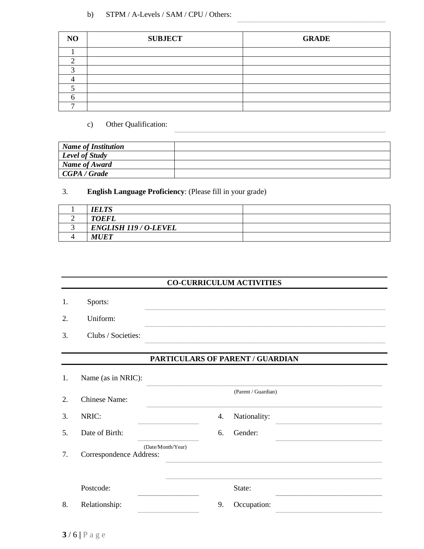#### $b)$ STPM / A-Levels / SAM / CPU / Others:

| N <sub>O</sub> | <b>SUBJECT</b> | <b>GRADE</b> |
|----------------|----------------|--------------|
|                |                |              |
|                |                |              |
|                |                |              |
|                |                |              |
|                |                |              |
|                |                |              |
|                |                |              |

#### Other Qualification:  $c)$

| <b>Name of Institution</b> |  |
|----------------------------|--|
| Level of Study             |  |
| Name of Award              |  |
| CGPA/Grade                 |  |

#### English Language Proficiency: (Please fill in your grade) 3.

| <b>IELTS</b>                 |  |
|------------------------------|--|
| <b>TOEFL</b>                 |  |
| <b>ENGLISH 119 / O-LEVEL</b> |  |
| <i>MIIFT</i>                 |  |

### **CO-CURRICULUM ACTIVITIES**

- Sports:  $1.$
- 2. Uniform:
- Clubs / Societies: 3.

### PARTICULARS OF PARENT / GUARDIAN

| 1. | Name (as in NRIC):      |                   |                     |  |
|----|-------------------------|-------------------|---------------------|--|
| 2. | <b>Chinese Name:</b>    |                   | (Parent / Guardian) |  |
| 3. | NRIC:                   | 4.                | Nationality:        |  |
| 5. | Date of Birth:          | 6.                | Gender:             |  |
| 7. | Correspondence Address: | (Date/Month/Year) |                     |  |
|    | Postcode:               |                   | State:              |  |
| 8. | Relationship:           | 9.                | Occupation:         |  |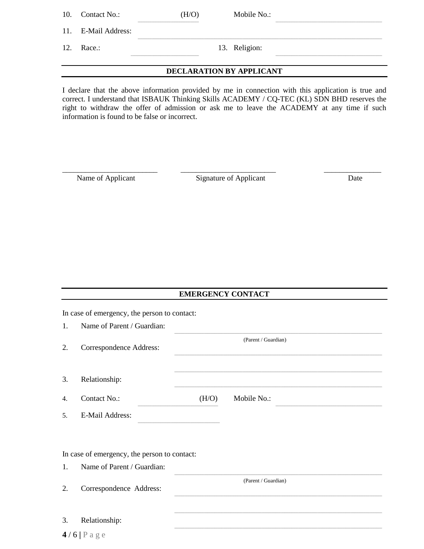| 10. | Contact No.:        | (H/O) | Mobile No.:   |  |
|-----|---------------------|-------|---------------|--|
|     | 11. E-Mail Address: |       |               |  |
| 12. | Race.:              |       | 13. Religion: |  |

#### DECLARATION BY APPLICANT

I declare that the above information provided by me in connection with this application is true and correct. I understand that ISBAUK Thinking Skills ACADEMY / CQ-TEC (KL) SDN BHD reserves the right to withdraw the offer of admission or ask me to leave the ACADEMY at any time if such information is found to be false or incorrect.

Name of Applicant

Signature of Applicant

Date

#### **EMERGENCY CONTACT**

| In case of emergency, the person to contact: |  |  |  |
|----------------------------------------------|--|--|--|
|----------------------------------------------|--|--|--|

| 1. | Name of Parent / Guardian:                   |       |                     |  |
|----|----------------------------------------------|-------|---------------------|--|
| 2. | Correspondence Address:                      |       | (Parent / Guardian) |  |
| 3. | Relationship:                                |       |                     |  |
| 4. | Contact No.:                                 | (H/O) | Mobile No.:         |  |
| 5. | <b>E-Mail Address:</b>                       |       |                     |  |
|    |                                              |       |                     |  |
|    | In case of emergency, the person to contact: |       |                     |  |
| 1. | Name of Parent / Guardian:                   |       |                     |  |
| 2. | Correspondence Address:                      |       | (Parent / Guardian) |  |
| 3. | Relationship:                                |       |                     |  |
|    | $4/6$   Page                                 |       |                     |  |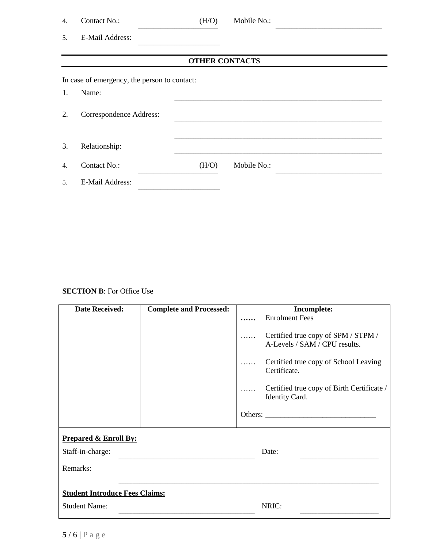| Contact No.:<br>4. |  |
|--------------------|--|
|--------------------|--|

5. E-Mail Address:

#### **OTHER CONTACTS**

In case of emergency, the person to contact:

| 1.               | Name:                   |       |             |  |
|------------------|-------------------------|-------|-------------|--|
| 2.               | Correspondence Address: |       |             |  |
|                  |                         |       |             |  |
| 3.               | Relationship:           |       |             |  |
| $\overline{4}$ . | Contact No.:            | (H/O) | Mobile No.: |  |
| 5.               | E-Mail Address:         |       |             |  |
|                  |                         |       |             |  |

#### **SECTION B:** For Office Use

| <b>Date Received:</b>                 | <b>Complete and Processed:</b> |   | Incomplete:                                                          |  |  |  |  |
|---------------------------------------|--------------------------------|---|----------------------------------------------------------------------|--|--|--|--|
|                                       |                                |   | <b>Enrolment Fees</b>                                                |  |  |  |  |
|                                       |                                | . | Certified true copy of SPM / STPM /<br>A-Levels / SAM / CPU results. |  |  |  |  |
|                                       |                                | . | Certified true copy of School Leaving<br>Certificate.                |  |  |  |  |
|                                       |                                |   | Certified true copy of Birth Certificate /<br>Identity Card.         |  |  |  |  |
|                                       |                                |   |                                                                      |  |  |  |  |
| <b>Prepared &amp; Enroll By:</b>      |                                |   |                                                                      |  |  |  |  |
| Staff-in-charge:                      |                                |   | Date:                                                                |  |  |  |  |
| Remarks:                              |                                |   |                                                                      |  |  |  |  |
| <b>Student Introduce Fees Claims:</b> |                                |   |                                                                      |  |  |  |  |
| <b>Student Name:</b>                  |                                |   | NRIC:                                                                |  |  |  |  |
|                                       |                                |   |                                                                      |  |  |  |  |